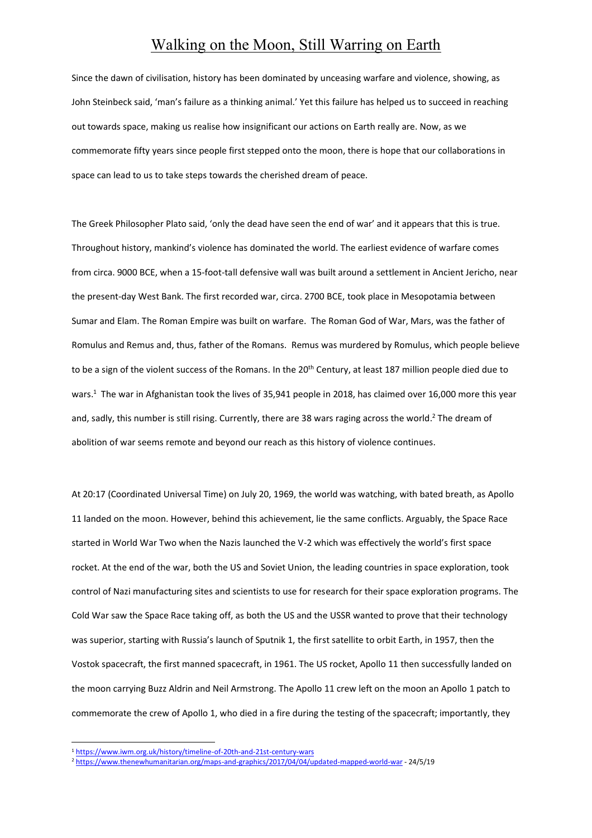## Walking on the Moon, Still Warring on Earth

Since the dawn of civilisation, history has been dominated by unceasing warfare and violence, showing, as John Steinbeck said, 'man's failure as a thinking animal.' Yet this failure has helped us to succeed in reaching out towards space, making us realise how insignificant our actions on Earth really are. Now, as we commemorate fifty years since people first stepped onto the moon, there is hope that our collaborations in space can lead to us to take steps towards the cherished dream of peace.

The Greek Philosopher Plato said, 'only the dead have seen the end of war' and it appears that this is true. Throughout history, mankind's violence has dominated the world. The earliest evidence of warfare comes from circa. 9000 BCE, when a 15-foot-tall defensive wall was built around a settlement in Ancient Jericho, near the present-day West Bank. The first recorded war, circa. 2700 BCE, took place in Mesopotamia between Sumar and Elam. The Roman Empire was built on warfare. The Roman God of War, Mars, was the father of Romulus and Remus and, thus, father of the Romans. Remus was murdered by Romulus, which people believe to be a sign of the violent success of the Romans. In the 20<sup>th</sup> Century, at least 187 million people died due to wars.<sup>1</sup> The war in Afghanistan took the lives of 35,941 people in 2018, has claimed over 16,000 more this year and, sadly, this number is still rising. Currently, there are 38 wars raging across the world. <sup>2</sup> The dream of abolition of war seems remote and beyond our reach as this history of violence continues.

At 20:17 (Coordinated Universal Time) on July 20, 1969, the world was watching, with bated breath, as Apollo 11 landed on the moon. However, behind this achievement, lie the same conflicts. Arguably, the Space Race started in World War Two when the Nazis launched the V-2 which was effectively the world's first space rocket. At the end of the war, both the US and Soviet Union, the leading countries in space exploration, took control of Nazi manufacturing sites and scientists to use for research for their space exploration programs. The Cold War saw the Space Race taking off, as both the US and the USSR wanted to prove that their technology was superior, starting with Russia's launch of Sputnik 1, the first satellite to orbit Earth, in 1957, then the Vostok spacecraft, the first manned spacecraft, in 1961. The US rocket, Apollo 11 then successfully landed on the moon carrying Buzz Aldrin and Neil Armstrong. The Apollo 11 crew left on the moon an Apollo 1 patch to commemorate the crew of Apollo 1, who died in a fire during the testing of the spacecraft; importantly, they

 $\overline{a}$ 

<sup>1</sup> <https://www.iwm.org.uk/history/timeline-of-20th-and-21st-century-wars>

<sup>2</sup> <https://www.thenewhumanitarian.org/maps-and-graphics/2017/04/04/updated-mapped-world-war> - 24/5/19